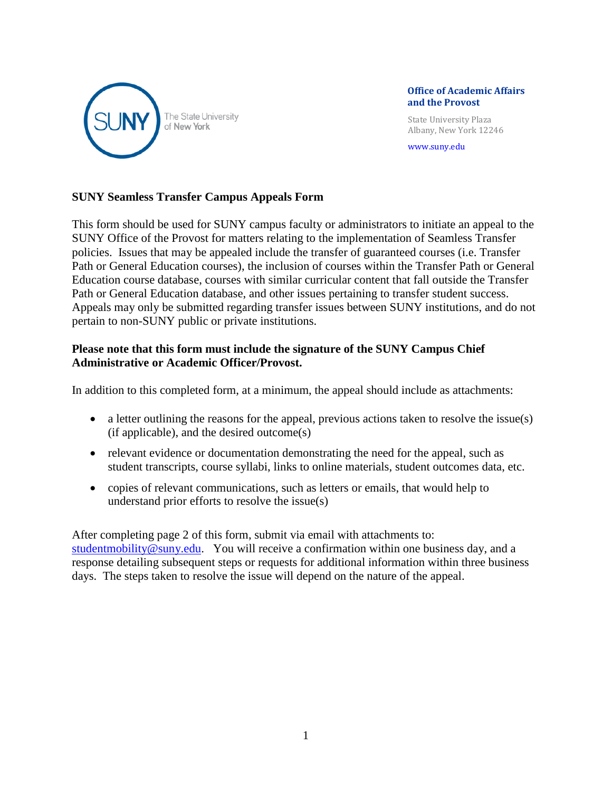

#### **Office of Academic Affairs and the Provost**

 State University Plaza Albany, New York 12246

[www.suny.edu](http://www.suny.edu/)

## **SUNY Seamless Transfer Campus Appeals Form**

This form should be used for SUNY campus faculty or administrators to initiate an appeal to the SUNY Office of the Provost for matters relating to the implementation of Seamless Transfer policies. Issues that may be appealed include the transfer of guaranteed courses (i.e. Transfer Path or General Education courses), the inclusion of courses within the Transfer Path or General Education course database, courses with similar curricular content that fall outside the Transfer Path or General Education database, and other issues pertaining to transfer student success. Appeals may only be submitted regarding transfer issues between SUNY institutions, and do not pertain to non-SUNY public or private institutions.

## **Please note that this form must include the signature of the SUNY Campus Chief Administrative or Academic Officer/Provost.**

In addition to this completed form, at a minimum, the appeal should include as attachments:

- a letter outlining the reasons for the appeal, previous actions taken to resolve the issue(s) (if applicable), and the desired outcome(s)
- relevant evidence or documentation demonstrating the need for the appeal, such as student transcripts, course syllabi, links to online materials, student outcomes data, etc.
- copies of relevant communications, such as letters or emails, that would help to understand prior efforts to resolve the issue(s)

After completing page 2 of this form, submit via email with attachments to: [studentmobility@suny.edu.](mailto:studentmobility@suny.edu) You will receive a confirmation within one business day, and a response detailing subsequent steps or requests for additional information within three business days. The steps taken to resolve the issue will depend on the nature of the appeal.